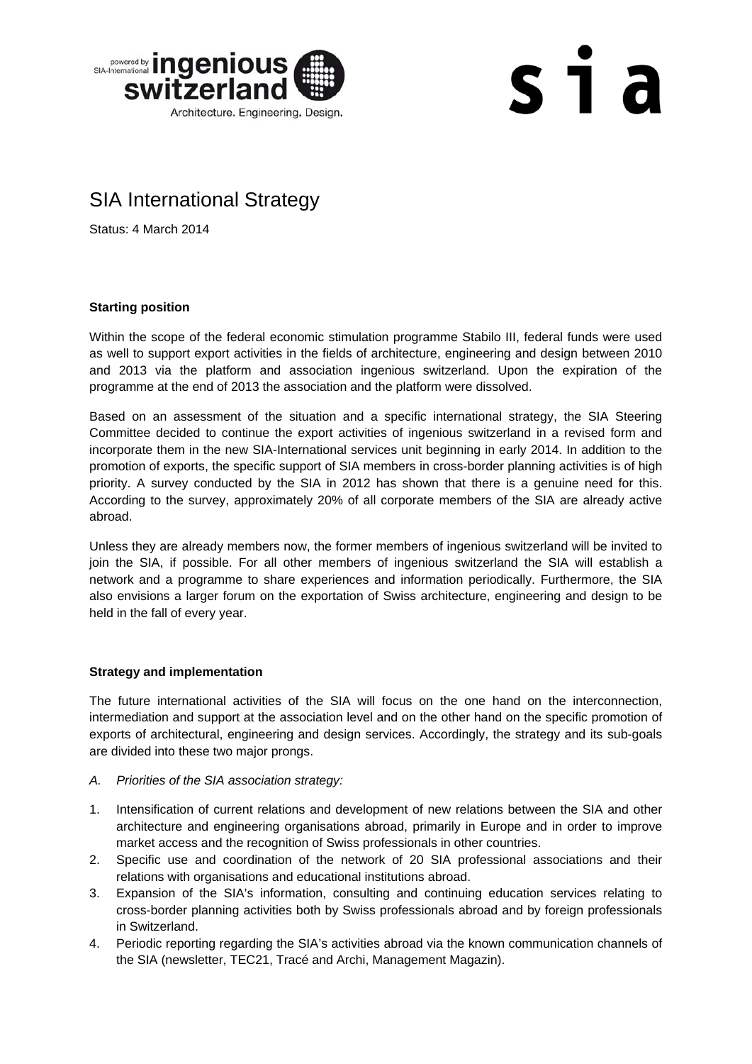

# $s<sub>1</sub>$  a

### SIA International Strategy

Status: 4 March 2014

#### **Starting position**

Within the scope of the federal economic stimulation programme Stabilo III, federal funds were used as well to support export activities in the fields of architecture, engineering and design between 2010 and 2013 via the platform and association ingenious switzerland. Upon the expiration of the programme at the end of 2013 the association and the platform were dissolved.

Based on an assessment of the situation and a specific international strategy, the SIA Steering Committee decided to continue the export activities of ingenious switzerland in a revised form and incorporate them in the new SIA-International services unit beginning in early 2014. In addition to the promotion of exports, the specific support of SIA members in cross-border planning activities is of high priority. A survey conducted by the SIA in 2012 has shown that there is a genuine need for this. According to the survey, approximately 20% of all corporate members of the SIA are already active abroad.

Unless they are already members now, the former members of ingenious switzerland will be invited to join the SIA, if possible. For all other members of ingenious switzerland the SIA will establish a network and a programme to share experiences and information periodically. Furthermore, the SIA also envisions a larger forum on the exportation of Swiss architecture, engineering and design to be held in the fall of every year.

#### **Strategy and implementation**

The future international activities of the SIA will focus on the one hand on the interconnection, intermediation and support at the association level and on the other hand on the specific promotion of exports of architectural, engineering and design services. Accordingly, the strategy and its sub-goals are divided into these two major prongs.

- *A. Priorities of the SIA association strategy:*
- 1. Intensification of current relations and development of new relations between the SIA and other architecture and engineering organisations abroad, primarily in Europe and in order to improve market access and the recognition of Swiss professionals in other countries.
- 2. Specific use and coordination of the network of 20 SIA professional associations and their relations with organisations and educational institutions abroad.
- 3. Expansion of the SIA's information, consulting and continuing education services relating to cross-border planning activities both by Swiss professionals abroad and by foreign professionals in Switzerland.
- 4. Periodic reporting regarding the SIA's activities abroad via the known communication channels of the SIA (newsletter, TEC21, Tracé and Archi, Management Magazin).